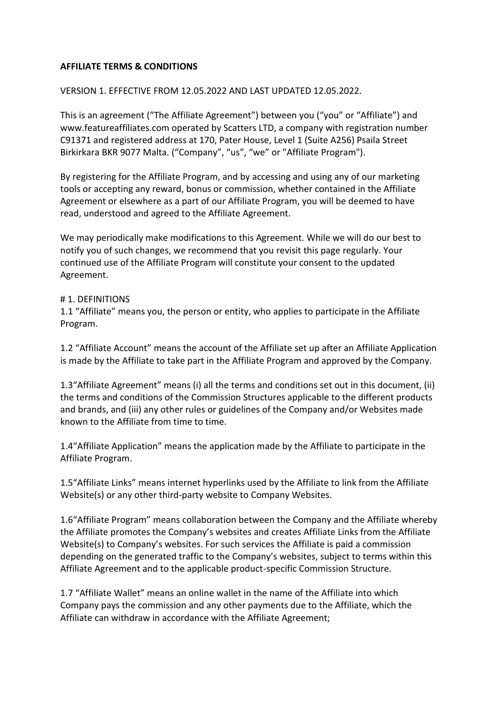### **AFFILIATE TERMS & CONDITIONS**

### VERSION 1. EFFECTIVE FROM 12.05.2022 AND LAST UPDATED 12.05.2022.

This is an agreement ("The Affiliate Agreement") between you ("you" or "Affiliate") and www.featureaffiliates.com operated by Scatters LTD, a company with registration number C91371 and registered address at 170, Pater House, Level 1 (Suite A256) Psaila Street Birkirkara BKR 9077 Malta. ("Company", "us", "we" or "Affiliate Program").

By registering for the Affiliate Program, and by accessing and using any of our marketing tools or accepting any reward, bonus or commission, whether contained in the Affiliate Agreement or elsewhere as a part of our Affiliate Program, you will be deemed to have read, understood and agreed to the Affiliate Agreement.

We may periodically make modifications to this Agreement. While we will do our best to notify you of such changes, we recommend that you revisit this page regularly. Your continued use of the Affiliate Program will constitute your consent to the updated Agreement.

### # 1. DEFINITIONS

1.1 "Affiliate" means you, the person or entity, who applies to participate in the Affiliate Program.

1.2 "Affiliate Account" means the account of the Affiliate set up after an Affiliate Application is made by the Affiliate to take part in the Affiliate Program and approved by the Company.

1.3"Affiliate Agreement" means (i) all the terms and conditions set out in this document, (ii) the terms and conditions of the Commission Structures applicable to the different products and brands, and (iii) any other rules or guidelines of the Company and/or Websites made known to the Affiliate from time to time.

1.4"Affiliate Application" means the application made by the Affiliate to participate in the Affiliate Program.

1.5"Affiliate Links" means internet hyperlinks used by the Affiliate to link from the Affiliate Website(s) or any other third-party website to Company Websites.

1.6"Affiliate Program" means collaboration between the Company and the Affiliate whereby the Affiliate promotes the Company's websites and creates Affiliate Links from the Affiliate Website(s) to Company's websites. For such services the Affiliate is paid a commission depending on the generated traffic to the Company's websites, subject to terms within this Affiliate Agreement and to the applicable product-specific Commission Structure.

1.7 "Affiliate Wallet" means an online wallet in the name of the Affiliate into which Company pays the commission and any other payments due to the Affiliate, which the Affiliate can withdraw in accordance with the Affiliate Agreement;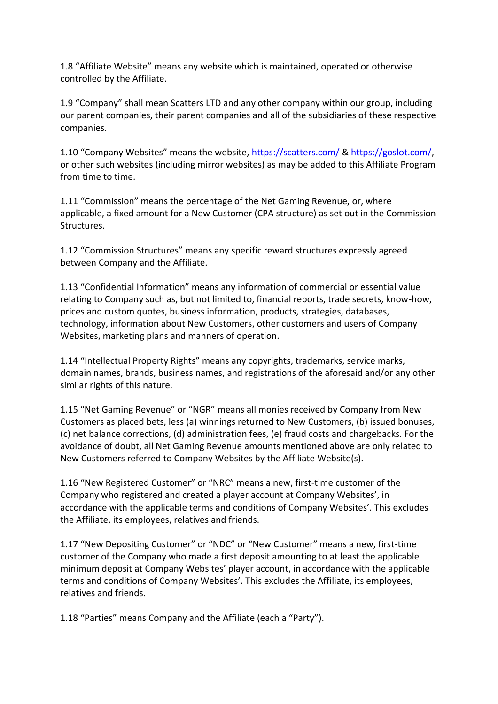1.8 "Affiliate Website" means any website which is maintained, operated or otherwise controlled by the Affiliate.

1.9 "Company" shall mean Scatters LTD and any other company within our group, including our parent companies, their parent companies and all of the subsidiaries of these respective companies.

1.10 "Company Websites" means the website, <https://scatters.com/> & [https://goslot.com/,](https://goslot.com/) or other such websites (including mirror websites) as may be added to this Affiliate Program from time to time.

1.11 "Commission" means the percentage of the Net Gaming Revenue, or, where applicable, a fixed amount for a New Customer (CPA structure) as set out in the Commission Structures.

1.12 "Commission Structures" means any specific reward structures expressly agreed between Company and the Affiliate.

1.13 "Confidential Information" means any information of commercial or essential value relating to Company such as, but not limited to, financial reports, trade secrets, know-how, prices and custom quotes, business information, products, strategies, databases, technology, information about New Customers, other customers and users of Company Websites, marketing plans and manners of operation.

1.14 "Intellectual Property Rights" means any copyrights, trademarks, service marks, domain names, brands, business names, and registrations of the aforesaid and/or any other similar rights of this nature.

1.15 "Net Gaming Revenue" or "NGR" means all monies received by Company from New Customers as placed bets, less (a) winnings returned to New Customers, (b) issued bonuses, (c) net balance corrections, (d) administration fees, (e) fraud costs and chargebacks. For the avoidance of doubt, all Net Gaming Revenue amounts mentioned above are only related to New Customers referred to Company Websites by the Affiliate Website(s).

1.16 "New Registered Customer" or "NRC" means a new, first-time customer of the Company who registered and created a player account at Company Websites', in accordance with the applicable terms and conditions of Company Websites'. This excludes the Affiliate, its employees, relatives and friends.

1.17 "New Depositing Customer" or "NDC" or "New Customer" means a new, first-time customer of the Company who made a first deposit amounting to at least the applicable minimum deposit at Company Websites' player account, in accordance with the applicable terms and conditions of Company Websites'. This excludes the Affiliate, its employees, relatives and friends.

1.18 "Parties" means Company and the Affiliate (each a "Party").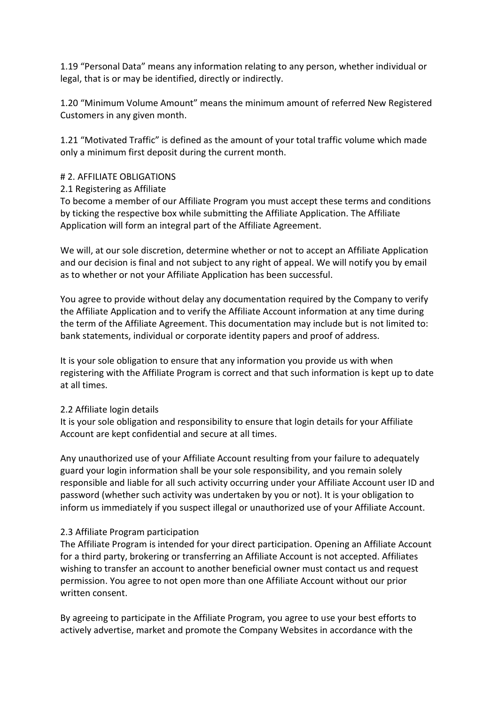1.19 "Personal Data" means any information relating to any person, whether individual or legal, that is or may be identified, directly or indirectly.

1.20 "Minimum Volume Amount" means the minimum amount of referred New Registered Customers in any given month.

1.21 "Motivated Traffic" is defined as the amount of your total traffic volume which made only a minimum first deposit during the current month.

# # 2. AFFILIATE OBLIGATIONS

### 2.1 Registering as Affiliate

To become a member of our Affiliate Program you must accept these terms and conditions by ticking the respective box while submitting the Affiliate Application. The Affiliate Application will form an integral part of the Affiliate Agreement.

We will, at our sole discretion, determine whether or not to accept an Affiliate Application and our decision is final and not subject to any right of appeal. We will notify you by email as to whether or not your Affiliate Application has been successful.

You agree to provide without delay any documentation required by the Company to verify the Affiliate Application and to verify the Affiliate Account information at any time during the term of the Affiliate Agreement. This documentation may include but is not limited to: bank statements, individual or corporate identity papers and proof of address.

It is your sole obligation to ensure that any information you provide us with when registering with the Affiliate Program is correct and that such information is kept up to date at all times.

# 2.2 Affiliate login details

It is your sole obligation and responsibility to ensure that login details for your Affiliate Account are kept confidential and secure at all times.

Any unauthorized use of your Affiliate Account resulting from your failure to adequately guard your login information shall be your sole responsibility, and you remain solely responsible and liable for all such activity occurring under your Affiliate Account user ID and password (whether such activity was undertaken by you or not). It is your obligation to inform us immediately if you suspect illegal or unauthorized use of your Affiliate Account.

# 2.3 Affiliate Program participation

The Affiliate Program is intended for your direct participation. Opening an Affiliate Account for a third party, brokering or transferring an Affiliate Account is not accepted. Affiliates wishing to transfer an account to another beneficial owner must contact us and request permission. You agree to not open more than one Affiliate Account without our prior written consent.

By agreeing to participate in the Affiliate Program, you agree to use your best efforts to actively advertise, market and promote the Company Websites in accordance with the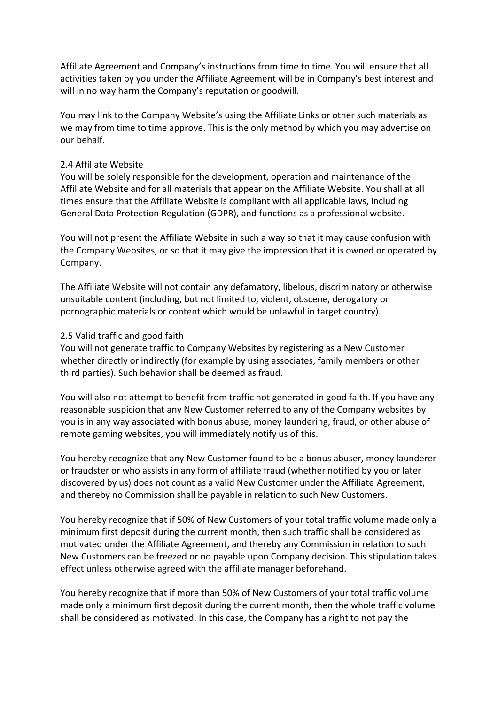Affiliate Agreement and Company's instructions from time to time. You will ensure that all activities taken by you under the Affiliate Agreement will be in Company's best interest and will in no way harm the Company's reputation or goodwill.

You may link to the Company Website's using the Affiliate Links or other such materials as we may from time to time approve. This is the only method by which you may advertise on our behalf.

#### 2.4 Affiliate Website

You will be solely responsible for the development, operation and maintenance of the Affiliate Website and for all materials that appear on the Affiliate Website. You shall at all times ensure that the Affiliate Website is compliant with all applicable laws, including General Data Protection Regulation (GDPR), and functions as a professional website.

You will not present the Affiliate Website in such a way so that it may cause confusion with the Company Websites, or so that it may give the impression that it is owned or operated by Company.

The Affiliate Website will not contain any defamatory, libelous, discriminatory or otherwise unsuitable content (including, but not limited to, violent, obscene, derogatory or pornographic materials or content which would be unlawful in target country).

#### 2.5 Valid traffic and good faith

You will not generate traffic to Company Websites by registering as a New Customer whether directly or indirectly (for example by using associates, family members or other third parties). Such behavior shall be deemed as fraud.

You will also not attempt to benefit from traffic not generated in good faith. If you have any reasonable suspicion that any New Customer referred to any of the Company websites by you is in any way associated with bonus abuse, money laundering, fraud, or other abuse of remote gaming websites, you will immediately notify us of this.

You hereby recognize that any New Customer found to be a bonus abuser, money launderer or fraudster or who assists in any form of affiliate fraud (whether notified by you or later discovered by us) does not count as a valid New Customer under the Affiliate Agreement, and thereby no Commission shall be payable in relation to such New Customers.

You hereby recognize that if 50% of New Customers of your total traffic volume made only a minimum first deposit during the current month, then such traffic shall be considered as motivated under the Affiliate Agreement, and thereby any Commission in relation to such New Customers can be freezed or no payable upon Company decision. This stipulation takes effect unless otherwise agreed with the affiliate manager beforehand.

You hereby recognize that if more than 50% of New Customers of your total traffic volume made only a minimum first deposit during the current month, then the whole traffic volume shall be considered as motivated. In this case, the Company has a right to not pay the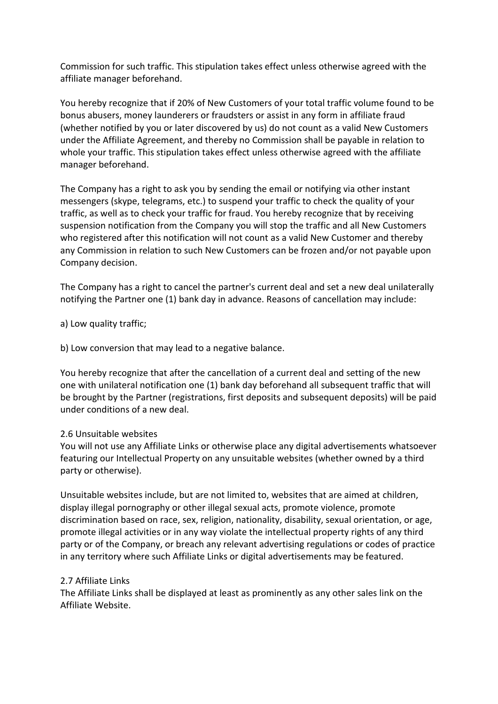Commission for such traffic. This stipulation takes effect unless otherwise agreed with the affiliate manager beforehand.

You hereby recognize that if 20% of New Customers of your total traffic volume found to be bonus abusers, money launderers or fraudsters or assist in any form in affiliate fraud (whether notified by you or later discovered by us) do not count as a valid New Customers under the Affiliate Agreement, and thereby no Commission shall be payable in relation to whole your traffic. This stipulation takes effect unless otherwise agreed with the affiliate manager beforehand.

The Company has a right to ask you by sending the email or notifying via other instant messengers (skype, telegrams, etc.) to suspend your traffic to check the quality of your traffic, as well as to check your traffic for fraud. You hereby recognize that by receiving suspension notification from the Company you will stop the traffic and all New Customers who registered after this notification will not count as a valid New Customer and thereby any Commission in relation to such New Customers can be frozen and/or not payable upon Company decision.

The Company has a right to cancel the partner's current deal and set a new deal unilaterally notifying the Partner one (1) bank day in advance. Reasons of cancellation may include:

a) Low quality traffic;

b) Low conversion that may lead to a negative balance.

You hereby recognize that after the cancellation of a current deal and setting of the new one with unilateral notification one (1) bank day beforehand all subsequent traffic that will be brought by the Partner (registrations, first deposits and subsequent deposits) will be paid under conditions of a new deal.

# 2.6 Unsuitable websites

You will not use any Affiliate Links or otherwise place any digital advertisements whatsoever featuring our Intellectual Property on any unsuitable websites (whether owned by a third party or otherwise).

Unsuitable websites include, but are not limited to, websites that are aimed at children, display illegal pornography or other illegal sexual acts, promote violence, promote discrimination based on race, sex, religion, nationality, disability, sexual orientation, or age, promote illegal activities or in any way violate the intellectual property rights of any third party or of the Company, or breach any relevant advertising regulations or codes of practice in any territory where such Affiliate Links or digital advertisements may be featured.

### 2.7 Affiliate Links

The Affiliate Links shall be displayed at least as prominently as any other sales link on the Affiliate Website.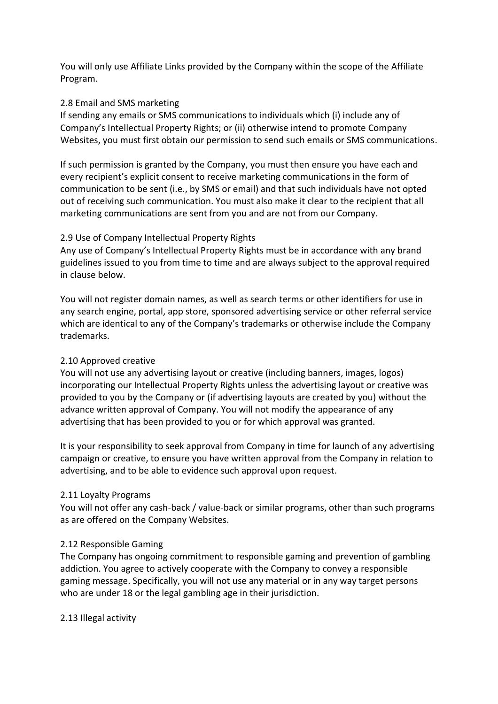You will only use Affiliate Links provided by the Company within the scope of the Affiliate Program.

### 2.8 Email and SMS marketing

If sending any emails or SMS communications to individuals which (i) include any of Company's Intellectual Property Rights; or (ii) otherwise intend to promote Company Websites, you must first obtain our permission to send such emails or SMS communications.

If such permission is granted by the Company, you must then ensure you have each and every recipient's explicit consent to receive marketing communications in the form of communication to be sent (i.e., by SMS or email) and that such individuals have not opted out of receiving such communication. You must also make it clear to the recipient that all marketing communications are sent from you and are not from our Company.

# 2.9 Use of Company Intellectual Property Rights

Any use of Company's Intellectual Property Rights must be in accordance with any brand guidelines issued to you from time to time and are always subject to the approval required in clause below.

You will not register domain names, as well as search terms or other identifiers for use in any search engine, portal, app store, sponsored advertising service or other referral service which are identical to any of the Company's trademarks or otherwise include the Company trademarks.

# 2.10 Approved creative

You will not use any advertising layout or creative (including banners, images, logos) incorporating our Intellectual Property Rights unless the advertising layout or creative was provided to you by the Company or (if advertising layouts are created by you) without the advance written approval of Company. You will not modify the appearance of any advertising that has been provided to you or for which approval was granted.

It is your responsibility to seek approval from Company in time for launch of any advertising campaign or creative, to ensure you have written approval from the Company in relation to advertising, and to be able to evidence such approval upon request.

### 2.11 Loyalty Programs

You will not offer any cash-back / value-back or similar programs, other than such programs as are offered on the Company Websites.

### 2.12 Responsible Gaming

The Company has ongoing commitment to responsible gaming and prevention of gambling addiction. You agree to actively cooperate with the Company to convey a responsible gaming message. Specifically, you will not use any material or in any way target persons who are under 18 or the legal gambling age in their jurisdiction.

2.13 Illegal activity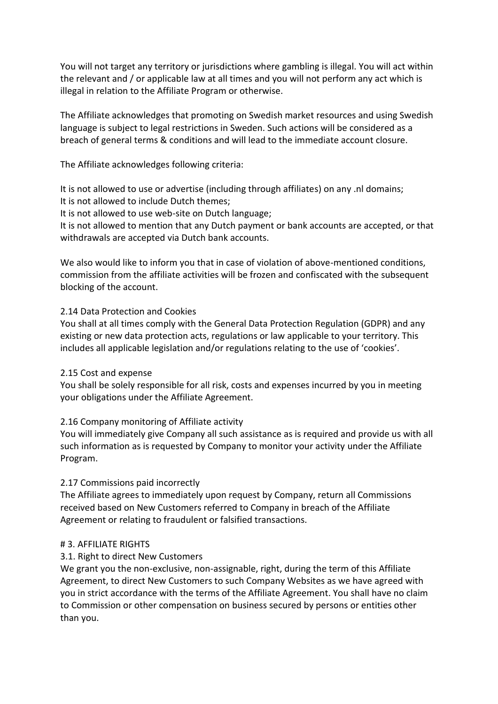You will not target any territory or jurisdictions where gambling is illegal. You will act within the relevant and / or applicable law at all times and you will not perform any act which is illegal in relation to the Affiliate Program or otherwise.

The Affiliate acknowledges that promoting on Swedish market resources and using Swedish language is subject to legal restrictions in Sweden. Such actions will be considered as a breach of general terms & conditions and will lead to the immediate account closure.

The Affiliate acknowledges following criteria:

It is not allowed to use or advertise (including through affiliates) on any .nl domains; It is not allowed to include Dutch themes;

It is not allowed to use web-site on Dutch language;

It is not allowed to mention that any Dutch payment or bank accounts are accepted, or that withdrawals are accepted via Dutch bank accounts.

We also would like to inform you that in case of violation of above-mentioned conditions, commission from the affiliate activities will be frozen and confiscated with the subsequent blocking of the account.

### 2.14 Data Protection and Cookies

You shall at all times comply with the General Data Protection Regulation (GDPR) and any existing or new data protection acts, regulations or law applicable to your territory. This includes all applicable legislation and/or regulations relating to the use of 'cookies'.

### 2.15 Cost and expense

You shall be solely responsible for all risk, costs and expenses incurred by you in meeting your obligations under the Affiliate Agreement.

# 2.16 Company monitoring of Affiliate activity

You will immediately give Company all such assistance as is required and provide us with all such information as is requested by Company to monitor your activity under the Affiliate Program.

# 2.17 Commissions paid incorrectly

The Affiliate agrees to immediately upon request by Company, return all Commissions received based on New Customers referred to Company in breach of the Affiliate Agreement or relating to fraudulent or falsified transactions.

# # 3. AFFILIATE RIGHTS

# 3.1. Right to direct New Customers

We grant you the non-exclusive, non-assignable, right, during the term of this Affiliate Agreement, to direct New Customers to such Company Websites as we have agreed with you in strict accordance with the terms of the Affiliate Agreement. You shall have no claim to Commission or other compensation on business secured by persons or entities other than you.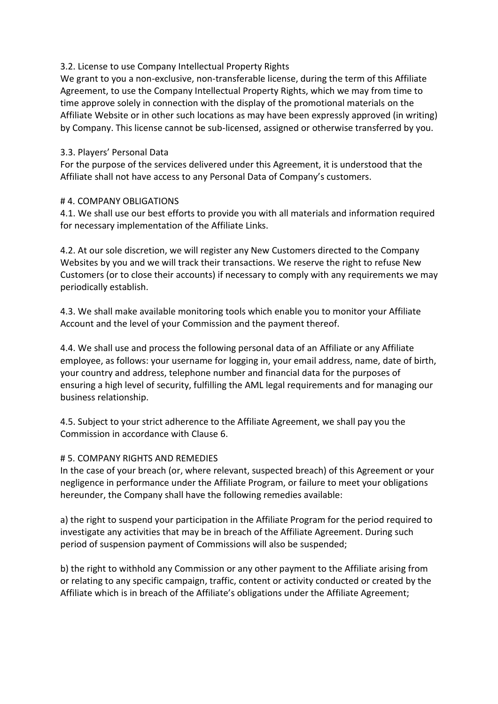### 3.2. License to use Company Intellectual Property Rights

We grant to you a non-exclusive, non-transferable license, during the term of this Affiliate Agreement, to use the Company Intellectual Property Rights, which we may from time to time approve solely in connection with the display of the promotional materials on the Affiliate Website or in other such locations as may have been expressly approved (in writing) by Company. This license cannot be sub-licensed, assigned or otherwise transferred by you.

### 3.3. Players' Personal Data

For the purpose of the services delivered under this Agreement, it is understood that the Affiliate shall not have access to any Personal Data of Company's customers.

### # 4. COMPANY OBLIGATIONS

4.1. We shall use our best efforts to provide you with all materials and information required for necessary implementation of the Affiliate Links.

4.2. At our sole discretion, we will register any New Customers directed to the Company Websites by you and we will track their transactions. We reserve the right to refuse New Customers (or to close their accounts) if necessary to comply with any requirements we may periodically establish.

4.3. We shall make available monitoring tools which enable you to monitor your Affiliate Account and the level of your Commission and the payment thereof.

4.4. We shall use and process the following personal data of an Affiliate or any Affiliate employee, as follows: your username for logging in, your email address, name, date of birth, your country and address, telephone number and financial data for the purposes of ensuring a high level of security, fulfilling the AML legal requirements and for managing our business relationship.

4.5. Subject to your strict adherence to the Affiliate Agreement, we shall pay you the Commission in accordance with Clause 6.

# # 5. COMPANY RIGHTS AND REMEDIES

In the case of your breach (or, where relevant, suspected breach) of this Agreement or your negligence in performance under the Affiliate Program, or failure to meet your obligations hereunder, the Company shall have the following remedies available:

a) the right to suspend your participation in the Affiliate Program for the period required to investigate any activities that may be in breach of the Affiliate Agreement. During such period of suspension payment of Commissions will also be suspended;

b) the right to withhold any Commission or any other payment to the Affiliate arising from or relating to any specific campaign, traffic, content or activity conducted or created by the Affiliate which is in breach of the Affiliate's obligations under the Affiliate Agreement;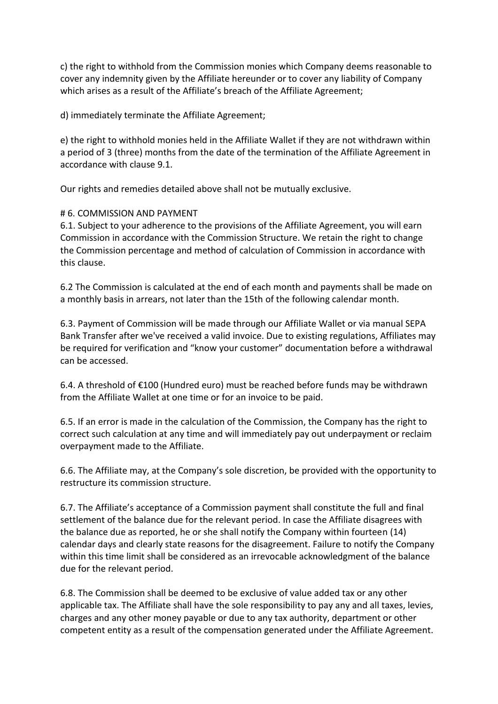c) the right to withhold from the Commission monies which Company deems reasonable to cover any indemnity given by the Affiliate hereunder or to cover any liability of Company which arises as a result of the Affiliate's breach of the Affiliate Agreement;

d) immediately terminate the Affiliate Agreement;

e) the right to withhold monies held in the Affiliate Wallet if they are not withdrawn within a period of 3 (three) months from the date of the termination of the Affiliate Agreement in accordance with clause 9.1.

Our rights and remedies detailed above shall not be mutually exclusive.

# # 6. COMMISSION AND PAYMENT

6.1. Subject to your adherence to the provisions of the Affiliate Agreement, you will earn Commission in accordance with the Commission Structure. We retain the right to change the Commission percentage and method of calculation of Commission in accordance with this clause.

6.2 The Commission is calculated at the end of each month and payments shall be made on a monthly basis in arrears, not later than the 15th of the following calendar month.

6.3. Payment of Commission will be made through our Affiliate Wallet or via manual SEPA Bank Transfer after we've received a valid invoice. Due to existing regulations, Affiliates may be required for verification and "know your customer" documentation before a withdrawal can be accessed.

6.4. A threshold of €100 (Hundred euro) must be reached before funds may be withdrawn from the Affiliate Wallet at one time or for an invoice to be paid.

6.5. If an error is made in the calculation of the Commission, the Company has the right to correct such calculation at any time and will immediately pay out underpayment or reclaim overpayment made to the Affiliate.

6.6. The Affiliate may, at the Company's sole discretion, be provided with the opportunity to restructure its commission structure.

6.7. The Affiliate's acceptance of a Commission payment shall constitute the full and final settlement of the balance due for the relevant period. In case the Affiliate disagrees with the balance due as reported, he or she shall notify the Company within fourteen (14) calendar days and clearly state reasons for the disagreement. Failure to notify the Company within this time limit shall be considered as an irrevocable acknowledgment of the balance due for the relevant period.

6.8. The Commission shall be deemed to be exclusive of value added tax or any other applicable tax. The Affiliate shall have the sole responsibility to pay any and all taxes, levies, charges and any other money payable or due to any tax authority, department or other competent entity as a result of the compensation generated under the Affiliate Agreement.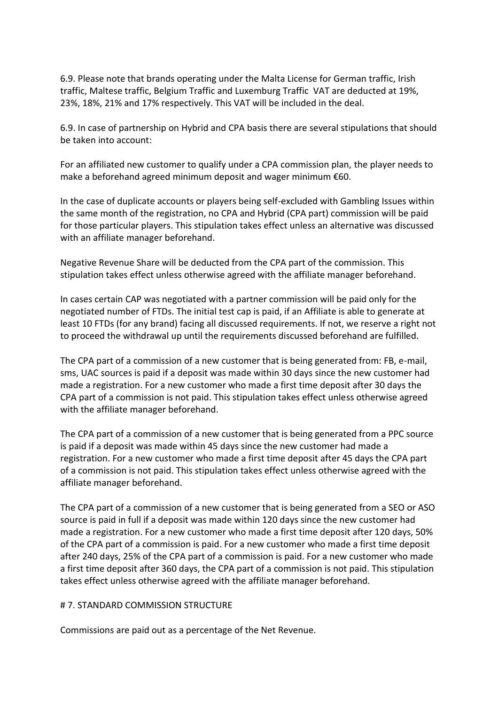6.9. Please note that brands operating under the Malta License for German traffic, Irish traffic, Maltese traffic, Belgium Traffic and Luxemburg Traffic VAT are deducted at 19%, 23%, 18%, 21% and 17% respectively. This VAT will be included in the deal.

6.9. In case of partnership on Hybrid and CPA basis there are several stipulations that should be taken into account:

For an affiliated new customer to qualify under a CPA commission plan, the player needs to make a beforehand agreed minimum deposit and wager minimum €60.

In the case of duplicate accounts or players being self-excluded with Gambling Issues within the same month of the registration, no CPA and Hybrid (CPA part) commission will be paid for those particular players. This stipulation takes effect unless an alternative was discussed with an affiliate manager beforehand.

Negative Revenue Share will be deducted from the CPA part of the commission. This stipulation takes effect unless otherwise agreed with the affiliate manager beforehand.

In cases certain CAP was negotiated with a partner commission will be paid only for the negotiated number of FTDs. The initial test cap is paid, if an Affiliate is able to generate at least 10 FTDs (for any brand) facing all discussed requirements. If not, we reserve a right not to proceed the withdrawal up until the requirements discussed beforehand are fulfilled.

The CPA part of a commission of a new customer that is being generated from: FB, e-mail, sms, UAC sources is paid if a deposit was made within 30 days since the new customer had made a registration. For a new customer who made a first time deposit after 30 days the CPA part of a commission is not paid. This stipulation takes effect unless otherwise agreed with the affiliate manager beforehand.

The CPA part of a commission of a new customer that is being generated from a PPC source is paid if a deposit was made within 45 days since the new customer had made a registration. For a new customer who made a first time deposit after 45 days the CPA part of a commission is not paid. This stipulation takes effect unless otherwise agreed with the affiliate manager beforehand.

The CPA part of a commission of a new customer that is being generated from a SEO or ASO source is paid in full if a deposit was made within 120 days since the new customer had made a registration. For a new customer who made a first time deposit after 120 days, 50% of the CPA part of a commission is paid. For a new customer who made a first time deposit after 240 days, 25% of the CPA part of a commission is paid. For a new customer who made a first time deposit after 360 days, the CPA part of a commission is not paid. This stipulation takes effect unless otherwise agreed with the affiliate manager beforehand.

### # 7. STANDARD COMMISSION STRUCTURE

Commissions are paid out as a percentage of the Net Revenue.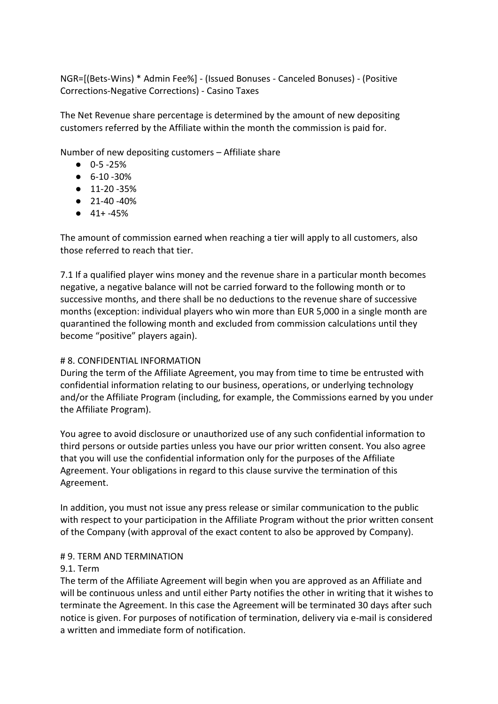NGR=[(Bets-Wins) \* Admin Fee%] - (Issued Bonuses - Canceled Bonuses) - (Positive Corrections-Negative Corrections) - Casino Taxes

The Net Revenue share percentage is determined by the amount of new depositing customers referred by the Affiliate within the month the commission is paid for.

Number of new depositing customers – Affiliate share

- $\bullet$  0-5-25%
- 6-10 -30%
- 11-20 -35%
- 21-40 -40%
- $41 + -45%$

The amount of commission earned when reaching a tier will apply to all customers, also those referred to reach that tier.

7.1 If a qualified player wins money and the revenue share in a particular month becomes negative, a negative balance will not be carried forward to the following month or to successive months, and there shall be no deductions to the revenue share of successive months (exception: individual players who win more than EUR 5,000 in a single month are quarantined the following month and excluded from commission calculations until they become "positive" players again).

# # 8. CONFIDENTIAL INFORMATION

During the term of the Affiliate Agreement, you may from time to time be entrusted with confidential information relating to our business, operations, or underlying technology and/or the Affiliate Program (including, for example, the Commissions earned by you under the Affiliate Program).

You agree to avoid disclosure or unauthorized use of any such confidential information to third persons or outside parties unless you have our prior written consent. You also agree that you will use the confidential information only for the purposes of the Affiliate Agreement. Your obligations in regard to this clause survive the termination of this Agreement.

In addition, you must not issue any press release or similar communication to the public with respect to your participation in the Affiliate Program without the prior written consent of the Company (with approval of the exact content to also be approved by Company).

### # 9. TERM AND TERMINATION

# 9.1. Term

The term of the Affiliate Agreement will begin when you are approved as an Affiliate and will be continuous unless and until either Party notifies the other in writing that it wishes to terminate the Agreement. In this case the Agreement will be terminated 30 days after such notice is given. For purposes of notification of termination, delivery via e-mail is considered a written and immediate form of notification.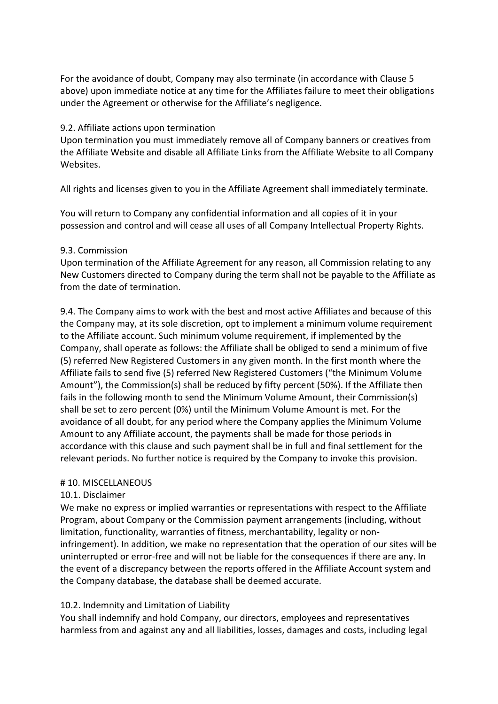For the avoidance of doubt, Company may also terminate (in accordance with Clause 5 above) upon immediate notice at any time for the Affiliates failure to meet their obligations under the Agreement or otherwise for the Affiliate's negligence.

### 9.2. Affiliate actions upon termination

Upon termination you must immediately remove all of Company banners or creatives from the Affiliate Website and disable all Affiliate Links from the Affiliate Website to all Company Websites.

All rights and licenses given to you in the Affiliate Agreement shall immediately terminate.

You will return to Company any confidential information and all copies of it in your possession and control and will cease all uses of all Company Intellectual Property Rights.

### 9.3. Commission

Upon termination of the Affiliate Agreement for any reason, all Commission relating to any New Customers directed to Company during the term shall not be payable to the Affiliate as from the date of termination.

9.4. The Company aims to work with the best and most active Affiliates and because of this the Company may, at its sole discretion, opt to implement a minimum volume requirement to the Affiliate account. Such minimum volume requirement, if implemented by the Company, shall operate as follows: the Affiliate shall be obliged to send a minimum of five (5) referred New Registered Customers in any given month. In the first month where the Affiliate fails to send five (5) referred New Registered Customers ("the Minimum Volume Amount"), the Commission(s) shall be reduced by fifty percent (50%). If the Affiliate then fails in the following month to send the Minimum Volume Amount, their Commission(s) shall be set to zero percent (0%) until the Minimum Volume Amount is met. For the avoidance of all doubt, for any period where the Company applies the Minimum Volume Amount to any Affiliate account, the payments shall be made for those periods in accordance with this clause and such payment shall be in full and final settlement for the relevant periods. No further notice is required by the Company to invoke this provision.

### # 10. MISCELLANEOUS

### 10.1. Disclaimer

We make no express or implied warranties or representations with respect to the Affiliate Program, about Company or the Commission payment arrangements (including, without limitation, functionality, warranties of fitness, merchantability, legality or noninfringement). In addition, we make no representation that the operation of our sites will be uninterrupted or error-free and will not be liable for the consequences if there are any. In the event of a discrepancy between the reports offered in the Affiliate Account system and the Company database, the database shall be deemed accurate.

# 10.2. Indemnity and Limitation of Liability

You shall indemnify and hold Company, our directors, employees and representatives harmless from and against any and all liabilities, losses, damages and costs, including legal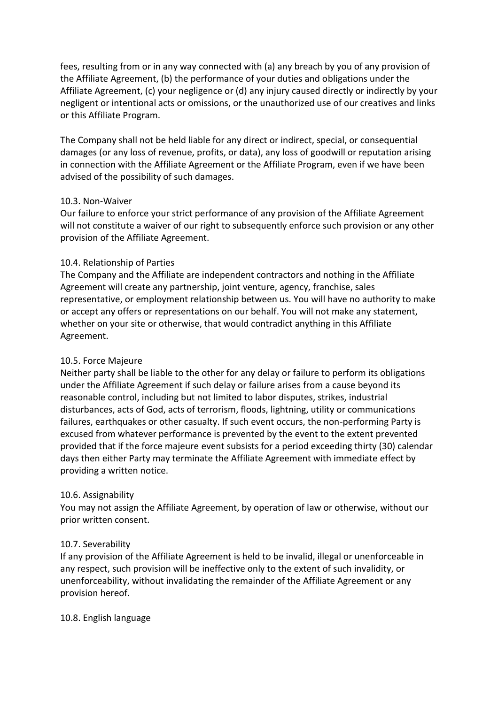fees, resulting from or in any way connected with (a) any breach by you of any provision of the Affiliate Agreement, (b) the performance of your duties and obligations under the Affiliate Agreement, (c) your negligence or (d) any injury caused directly or indirectly by your negligent or intentional acts or omissions, or the unauthorized use of our creatives and links or this Affiliate Program.

The Company shall not be held liable for any direct or indirect, special, or consequential damages (or any loss of revenue, profits, or data), any loss of goodwill or reputation arising in connection with the Affiliate Agreement or the Affiliate Program, even if we have been advised of the possibility of such damages.

### 10.3. Non-Waiver

Our failure to enforce your strict performance of any provision of the Affiliate Agreement will not constitute a waiver of our right to subsequently enforce such provision or any other provision of the Affiliate Agreement.

### 10.4. Relationship of Parties

The Company and the Affiliate are independent contractors and nothing in the Affiliate Agreement will create any partnership, joint venture, agency, franchise, sales representative, or employment relationship between us. You will have no authority to make or accept any offers or representations on our behalf. You will not make any statement, whether on your site or otherwise, that would contradict anything in this Affiliate Agreement.

# 10.5. Force Majeure

Neither party shall be liable to the other for any delay or failure to perform its obligations under the Affiliate Agreement if such delay or failure arises from a cause beyond its reasonable control, including but not limited to labor disputes, strikes, industrial disturbances, acts of God, acts of terrorism, floods, lightning, utility or communications failures, earthquakes or other casualty. If such event occurs, the non-performing Party is excused from whatever performance is prevented by the event to the extent prevented provided that if the force majeure event subsists for a period exceeding thirty (30) calendar days then either Party may terminate the Affiliate Agreement with immediate effect by providing a written notice.

### 10.6. Assignability

You may not assign the Affiliate Agreement, by operation of law or otherwise, without our prior written consent.

# 10.7. Severability

If any provision of the Affiliate Agreement is held to be invalid, illegal or unenforceable in any respect, such provision will be ineffective only to the extent of such invalidity, or unenforceability, without invalidating the remainder of the Affiliate Agreement or any provision hereof.

### 10.8. English language